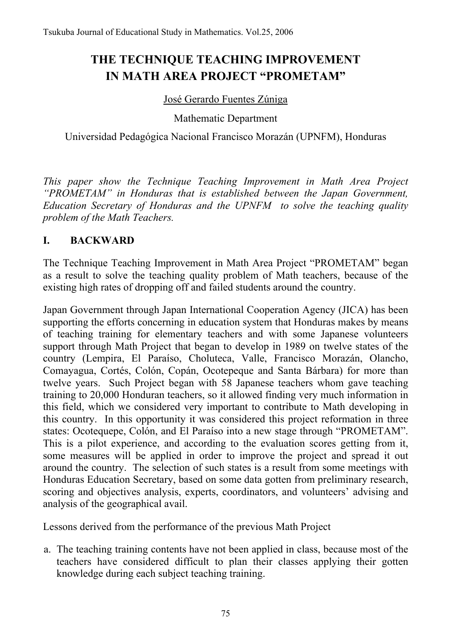# **THE TECHNIQUE TEACHING IMPROVEMENT IN MATH AREA PROJECT "PROMETAM"**

#### José Gerardo Fuentes Zúniga

Mathematic Department

Universidad Pedagógica Nacional Francisco Morazán (UPNFM), Honduras

*This paper show the Technique Teaching Improvement in Math Area Project "PROMETAM" in Honduras that is established between the Japan Government, Education Secretary of Honduras and the UPNFM to solve the teaching quality problem of the Math Teachers.* 

### **I. BACKWARD**

The Technique Teaching Improvement in Math Area Project "PROMETAM" began as a result to solve the teaching quality problem of Math teachers, because of the existing high rates of dropping off and failed students around the country.

Japan Government through Japan International Cooperation Agency (JICA) has been supporting the efforts concerning in education system that Honduras makes by means of teaching training for elementary teachers and with some Japanese volunteers support through Math Project that began to develop in 1989 on twelve states of the country (Lempira, El Paraíso, Choluteca, Valle, Francisco Morazán, Olancho, Comayagua, Cortés, Colón, Copán, Ocotepeque and Santa Bárbara) for more than twelve years. Such Project began with 58 Japanese teachers whom gave teaching training to 20,000 Honduran teachers, so it allowed finding very much information in this field, which we considered very important to contribute to Math developing in this country. In this opportunity it was considered this project reformation in three states: Ocotequepe, Colón, and El Paraíso into a new stage through "PROMETAM". This is a pilot experience, and according to the evaluation scores getting from it, some measures will be applied in order to improve the project and spread it out around the country. The selection of such states is a result from some meetings with Honduras Education Secretary, based on some data gotten from preliminary research, scoring and objectives analysis, experts, coordinators, and volunteers' advising and analysis of the geographical avail.

Lessons derived from the performance of the previous Math Project

a. The teaching training contents have not been applied in class, because most of the teachers have considered difficult to plan their classes applying their gotten knowledge during each subject teaching training.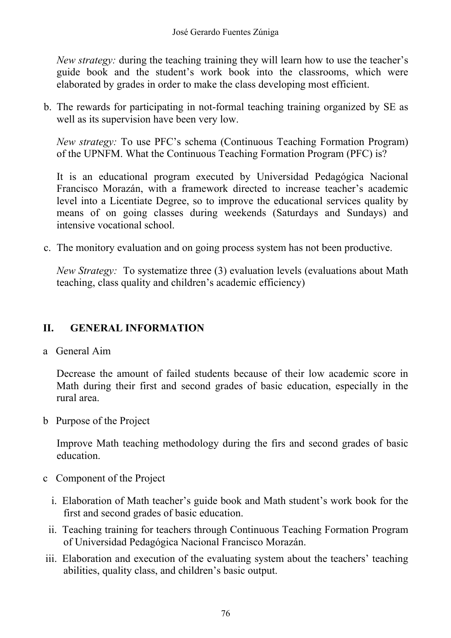*New strategy:* during the teaching training they will learn how to use the teacher's guide book and the student's work book into the classrooms, which were elaborated by grades in order to make the class developing most efficient.

b. The rewards for participating in not-formal teaching training organized by SE as well as its supervision have been very low.

*New strategy:* To use PFC's schema (Continuous Teaching Formation Program) of the UPNFM. What the Continuous Teaching Formation Program (PFC) is?

It is an educational program executed by Universidad Pedagógica Nacional Francisco Morazán, with a framework directed to increase teacher's academic level into a Licentiate Degree, so to improve the educational services quality by means of on going classes during weekends (Saturdays and Sundays) and intensive vocational school.

c. The monitory evaluation and on going process system has not been productive.

*New Strategy:* To systematize three (3) evaluation levels (evaluations about Math teaching, class quality and children's academic efficiency)

### **II. GENERAL INFORMATION**

a General Aim

Decrease the amount of failed students because of their low academic score in Math during their first and second grades of basic education, especially in the rural area.

b Purpose of the Project

Improve Math teaching methodology during the firs and second grades of basic education.

- c Component of the Project
	- i. Elaboration of Math teacher's guide book and Math student's work book for the first and second grades of basic education.
	- ii. Teaching training for teachers through Continuous Teaching Formation Program of Universidad Pedagógica Nacional Francisco Morazán.
- iii. Elaboration and execution of the evaluating system about the teachers' teaching abilities, quality class, and children's basic output.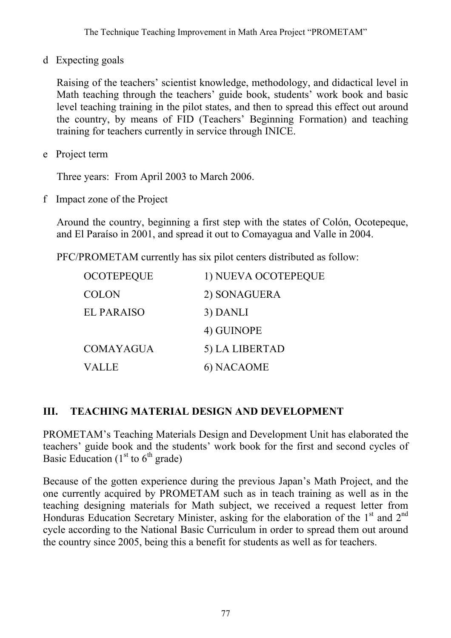d Expecting goals

Raising of the teachers' scientist knowledge, methodology, and didactical level in Math teaching through the teachers' guide book, students' work book and basic level teaching training in the pilot states, and then to spread this effect out around the country, by means of FID (Teachers' Beginning Formation) and teaching training for teachers currently in service through INICE.

e Project term

Three years: From April 2003 to March 2006.

f Impact zone of the Project

Around the country, beginning a first step with the states of Colón, Ocotepeque, and El Paraíso in 2001, and spread it out to Comayagua and Valle in 2004.

PFC/PROMETAM currently has six pilot centers distributed as follow:

| <b>OCOTEPEQUE</b> | 1) NUEVA OCOTEPEQUE |
|-------------------|---------------------|
| <b>COLON</b>      | 2) SONAGUERA        |
| <b>EL PARAISO</b> | 3) DANLI            |
|                   | 4) GUINOPE          |
| <b>COMAYAGUA</b>  | 5) LA LIBERTAD      |
| <b>VALLE</b>      | 6) NACAOME          |

### **III. TEACHING MATERIAL DESIGN AND DEVELOPMENT**

PROMETAM's Teaching Materials Design and Development Unit has elaborated the teachers' guide book and the students' work book for the first and second cycles of Basic Education  $(1<sup>st</sup>$  to  $6<sup>th</sup>$  grade)

Because of the gotten experience during the previous Japan's Math Project, and the one currently acquired by PROMETAM such as in teach training as well as in the teaching designing materials for Math subject, we received a request letter from Honduras Education Secretary Minister, asking for the elaboration of the  $1<sup>st</sup>$  and  $2<sup>nd</sup>$ cycle according to the National Basic Curriculum in order to spread them out around the country since 2005, being this a benefit for students as well as for teachers.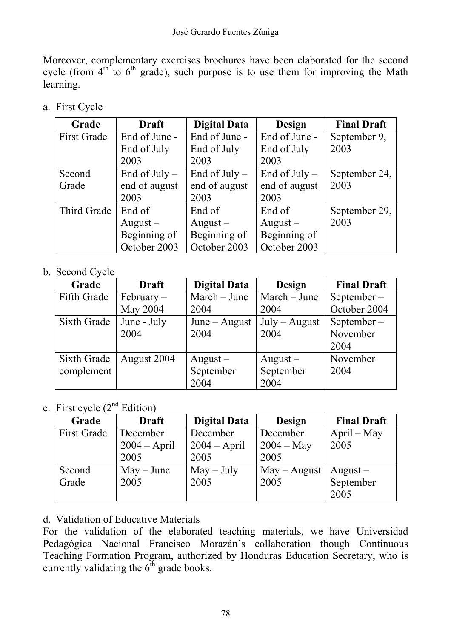Moreover, complementary exercises brochures have been elaborated for the second cycle (from  $4<sup>th</sup>$  to  $6<sup>th</sup>$  grade), such purpose is to use them for improving the Math learning.

a. First Cycle

| Grade              | <b>Draft</b>    | <b>Digital Data</b> | <b>Design</b>   | <b>Final Draft</b> |
|--------------------|-----------------|---------------------|-----------------|--------------------|
| <b>First Grade</b> | End of June -   | End of June -       | End of June -   | September 9,       |
|                    | End of July     | End of July         | End of July     | 2003               |
|                    | 2003            | 2003                | 2003            |                    |
| Second             | End of $July -$ | End of July $-$     | End of $July -$ | September 24,      |
| Grade              | end of august   | end of august       | end of august   | 2003               |
|                    | 2003            | 2003                | 2003            |                    |
| Third Grade        | End of          | End of              | End of          | September 29,      |
|                    | $August -$      | $August -$          | $August -$      | 2003               |
|                    | Beginning of    | Beginning of        | Beginning of    |                    |
|                    | October 2003    | October 2003        | October 2003    |                    |

### b. Second Cycle

| Grade       | <b>Draft</b> | <b>Digital Data</b> | <b>Design</b>   | <b>Final Draft</b> |
|-------------|--------------|---------------------|-----------------|--------------------|
| Fifth Grade | $February -$ | $March - June$      | March – June    | September $-$      |
|             | May 2004     | 2004                | 2004            | October 2004       |
| Sixth Grade | June - July  | $June - August$     | $July - August$ | September $-$      |
|             | 2004         | 2004                | 2004            | November           |
|             |              |                     |                 | 2004               |
| Sixth Grade | August 2004  | $August -$          | $August -$      | November           |
| complement  |              | September           | September       | 2004               |
|             |              | 2004                | 2004            |                    |

## c. First cycle  $(2<sup>nd</sup> Edition)$

| Grade              | <b>Draft</b>   | <b>Digital Data</b> | Design                    | <b>Final Draft</b> |
|--------------------|----------------|---------------------|---------------------------|--------------------|
| <b>First Grade</b> | December       | December            | December<br>$April - May$ |                    |
|                    | $2004 - April$ | $2004 - April$      | $2004 - May$              | 2005               |
|                    | 2005           | 2005                | 2005                      |                    |
| Second             | $May - June$   | $May - July$        | $May - August$            | $August -$         |
| Grade              | 2005           | 2005                | 2005                      | September          |
|                    |                |                     |                           | 2005               |

### d. Validation of Educative Materials

For the validation of the elaborated teaching materials, we have Universidad Pedagógica Nacional Francisco Morazán's collaboration though Continuous Teaching Formation Program, authorized by Honduras Education Secretary, who is currently validating the  $6<sup>th</sup>$  grade books.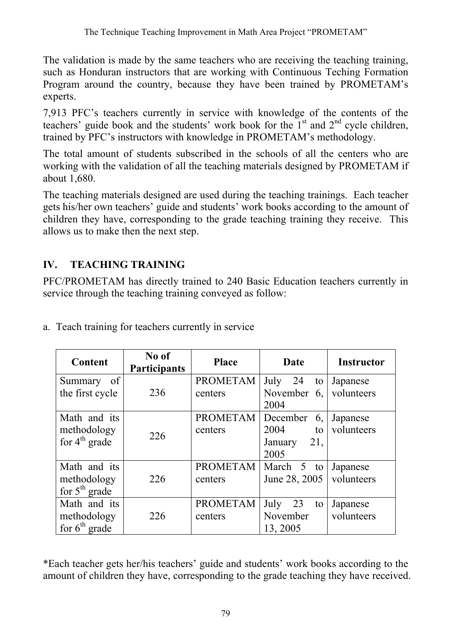The validation is made by the same teachers who are receiving the teaching training, such as Honduran instructors that are working with Continuous Teching Formation Program around the country, because they have been trained by PROMETAM's experts.

7,913 PFC's teachers currently in service with knowledge of the contents of the teachers' guide book and the students' work book for the  $1<sup>st</sup>$  and  $2<sup>nd</sup>$  cycle children, trained by PFC's instructors with knowledge in PROMETAM's methodology.

The total amount of students subscribed in the schools of all the centers who are working with the validation of all the teaching materials designed by PROMETAM if about 1,680.

The teaching materials designed are used during the teaching trainings. Each teacher gets his/her own teachers' guide and students' work books according to the amount of children they have, corresponding to the grade teaching training they receive. This allows us to make then the next step.

## **IV. TEACHING TRAINING**

PFC/PROMETAM has directly trained to 240 Basic Education teachers currently in service through the teaching training conveyed as follow:

| <b>Content</b>                                           | No of<br><b>Participants</b> | <b>Place</b>               | Date                                                   | <b>Instructor</b>      |
|----------------------------------------------------------|------------------------------|----------------------------|--------------------------------------------------------|------------------------|
| of <sub>1</sub><br>Summary<br>the first cycle            | 236                          | <b>PROMETAM</b><br>centers | July<br>24<br>to<br>November<br>6,                     | Japanese<br>volunteers |
|                                                          |                              |                            | 2004                                                   |                        |
| Math and its<br>methodology<br>for $4^{\text{th}}$ grade | 226                          | <b>PROMETAM</b><br>centers | December<br>6,<br>2004<br>to<br>21,<br>January<br>2005 | Japanese<br>volunteers |
| Math and its<br>methodology<br>for $5th$ grade           | 226                          | <b>PROMETAM</b><br>centers | March 5 to<br>June 28, 2005                            | Japanese<br>volunteers |
| Math and its<br>methodology<br>for $6th$ grade           | 226                          | <b>PROMETAM</b><br>centers | 23<br>July<br>to<br>November<br>13, 2005               | Japanese<br>volunteers |

a. Teach training for teachers currently in service

\*Each teacher gets her/his teachers' guide and students' work books according to the amount of children they have, corresponding to the grade teaching they have received.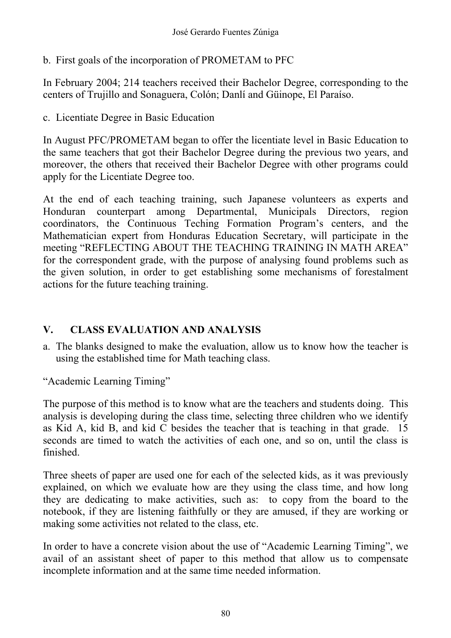b. First goals of the incorporation of PROMETAM to PFC

In February 2004; 214 teachers received their Bachelor Degree, corresponding to the centers of Trujillo and Sonaguera, Colón; Danlí and Güinope, El Paraíso.

c. Licentiate Degree in Basic Education

In August PFC/PROMETAM began to offer the licentiate level in Basic Education to the same teachers that got their Bachelor Degree during the previous two years, and moreover, the others that received their Bachelor Degree with other programs could apply for the Licentiate Degree too.

At the end of each teaching training, such Japanese volunteers as experts and Honduran counterpart among Departmental, Municipals Directors, region coordinators, the Continuous Teching Formation Program's centers, and the Mathematician expert from Honduras Education Secretary, will participate in the meeting "REFLECTING ABOUT THE TEACHING TRAINING IN MATH AREA" for the correspondent grade, with the purpose of analysing found problems such as the given solution, in order to get establishing some mechanisms of forestalment actions for the future teaching training.

### **V. CLASS EVALUATION AND ANALYSIS**

a. The blanks designed to make the evaluation, allow us to know how the teacher is using the established time for Math teaching class.

"Academic Learning Timing"

The purpose of this method is to know what are the teachers and students doing. This analysis is developing during the class time, selecting three children who we identify as Kid A, kid B, and kid C besides the teacher that is teaching in that grade. 15 seconds are timed to watch the activities of each one, and so on, until the class is finished.

Three sheets of paper are used one for each of the selected kids, as it was previously explained, on which we evaluate how are they using the class time, and how long they are dedicating to make activities, such as: to copy from the board to the notebook, if they are listening faithfully or they are amused, if they are working or making some activities not related to the class, etc.

In order to have a concrete vision about the use of "Academic Learning Timing", we avail of an assistant sheet of paper to this method that allow us to compensate incomplete information and at the same time needed information.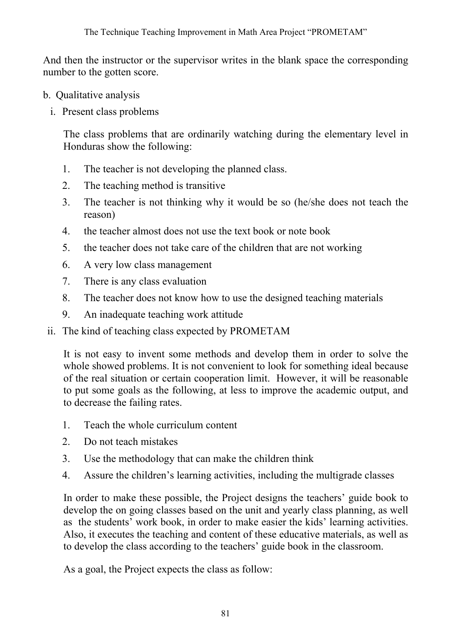And then the instructor or the supervisor writes in the blank space the corresponding number to the gotten score.

- b. Qualitative analysis
	- i. Present class problems

The class problems that are ordinarily watching during the elementary level in Honduras show the following:

- 1. The teacher is not developing the planned class.
- 2. The teaching method is transitive
- 3. The teacher is not thinking why it would be so (he/she does not teach the reason)
- 4. the teacher almost does not use the text book or note book
- 5. the teacher does not take care of the children that are not working
- 6. A very low class management
- 7. There is any class evaluation
- 8. The teacher does not know how to use the designed teaching materials
- 9. An inadequate teaching work attitude
- ii. The kind of teaching class expected by PROMETAM

It is not easy to invent some methods and develop them in order to solve the whole showed problems. It is not convenient to look for something ideal because of the real situation or certain cooperation limit. However, it will be reasonable to put some goals as the following, at less to improve the academic output, and to decrease the failing rates.

- 1. Teach the whole curriculum content
- 2. Do not teach mistakes
- 3. Use the methodology that can make the children think
- 4. Assure the children's learning activities, including the multigrade classes

In order to make these possible, the Project designs the teachers' guide book to develop the on going classes based on the unit and yearly class planning, as well as the students' work book, in order to make easier the kids' learning activities. Also, it executes the teaching and content of these educative materials, as well as to develop the class according to the teachers' guide book in the classroom.

As a goal, the Project expects the class as follow: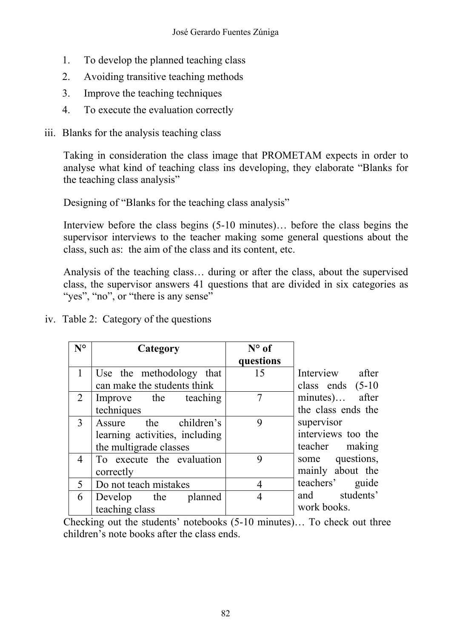- 1. To develop the planned teaching class
- 2. Avoiding transitive teaching methods
- 3. Improve the teaching techniques
- 4. To execute the evaluation correctly
- iii. Blanks for the analysis teaching class

Taking in consideration the class image that PROMETAM expects in order to analyse what kind of teaching class ins developing, they elaborate "Blanks for the teaching class analysis"

Designing of "Blanks for the teaching class analysis"

Interview before the class begins (5-10 minutes)… before the class begins the supervisor interviews to the teacher making some general questions about the class, such as: the aim of the class and its content, etc.

Analysis of the teaching class… during or after the class, about the supervised class, the supervisor answers 41 questions that are divided in six categories as "yes", "no", or "there is any sense"

iv. Table 2: Category of the questions

| $N^{\circ}$    | Category                       | $N^{\circ}$ of |                     |
|----------------|--------------------------------|----------------|---------------------|
|                |                                | questions      |                     |
|                | Use the methodology that       | 15             | Interview after     |
|                | can make the students think    |                | class ends $(5-10)$ |
| $\overline{2}$ | Improve the teaching           |                | minutes) after      |
|                | techniques                     |                | the class ends the  |
| 3              | Assure the children's          | 9              | supervisor          |
|                | learning activities, including |                | interviews too the  |
|                | the multigrade classes         |                | teacher making      |
| $\overline{4}$ | To execute the evaluation      | 9              | some questions,     |
|                | correctly                      |                | mainly about the    |
| 5              | Do not teach mistakes          | 4              | teachers' guide     |
| 6              | Develop the planned            |                | and students'       |
|                | teaching class                 |                | work books.         |

Checking out the students' notebooks (5-10 minutes)… To check out three children's note books after the class ends.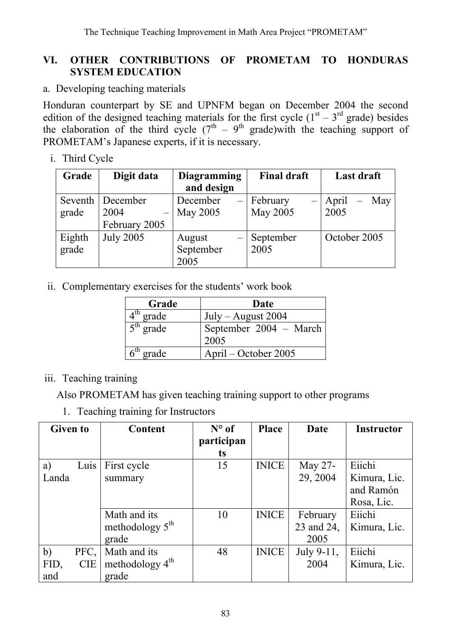### **VI. OTHER CONTRIBUTIONS OF PROMETAM TO HONDURAS SYSTEM EDUCATION**

a. Developing teaching materials

Honduran counterpart by SE and UPNFM began on December 2004 the second edition of the designed teaching materials for the first cycle  $(1<sup>st</sup> - 3<sup>rd</sup>$  grade) besides the elaboration of the third cycle  $(7<sup>th</sup> - 9<sup>th</sup>$  grade)with the teaching support of PROMETAM's Japanese experts, if it is necessary.

i. Third Cycle

| Grade   | Digit data       | <b>Diagramming</b> | <b>Final draft</b>                   | Last draft   |  |
|---------|------------------|--------------------|--------------------------------------|--------------|--|
|         |                  | and design         |                                      |              |  |
| Seventh | December         | December<br>$-1$   | February<br>$\overline{\phantom{0}}$ | April<br>May |  |
| grade   | 2004             | May 2005           | May 2005                             | 2005         |  |
|         | February 2005    |                    |                                      |              |  |
| Eighth  | <b>July 2005</b> | August             | September                            | October 2005 |  |
| grade   |                  | September          | 2005                                 |              |  |
|         |                  | 2005               |                                      |              |  |

ii. Complementary exercises for the students' work book

| Grade       | Date                           |  |  |
|-------------|--------------------------------|--|--|
| $4th$ grade | July – August $2004$           |  |  |
| $5th$ grade | September 2004 - March<br>2005 |  |  |
| $6th$ grade | April – October 2005           |  |  |

### iii. Teaching training

Also PROMETAM has given teaching training support to other programs

1. Teaching training for Instructors

| <b>Given to</b>    | <b>Content</b>              | $N^{\circ}$ of | <b>Place</b> | Date       | <b>Instructor</b> |
|--------------------|-----------------------------|----------------|--------------|------------|-------------------|
|                    |                             | participan     |              |            |                   |
|                    |                             | ts             |              |            |                   |
| a)<br>Luis         | First cycle                 | 15             | <b>INICE</b> | May 27-    | Eiichi            |
| Landa              | summary                     |                |              | 29, 2004   | Kimura, Lic.      |
|                    |                             |                |              |            | and Ramón         |
|                    |                             |                |              |            | Rosa, Lic.        |
|                    | Math and its                | 10             | <b>INICE</b> | February   | Eiichi            |
|                    | methodology $5th$           |                |              | 23 and 24, | Kimura, Lic.      |
|                    | grade                       |                |              | 2005       |                   |
| b)<br>PFC,         | Math and its                | 48             | <b>INICE</b> | July 9-11, | Eiichi            |
| <b>CIE</b><br>FID, | methodology $4^{\text{th}}$ |                |              | 2004       | Kimura, Lic.      |
| and                | grade                       |                |              |            |                   |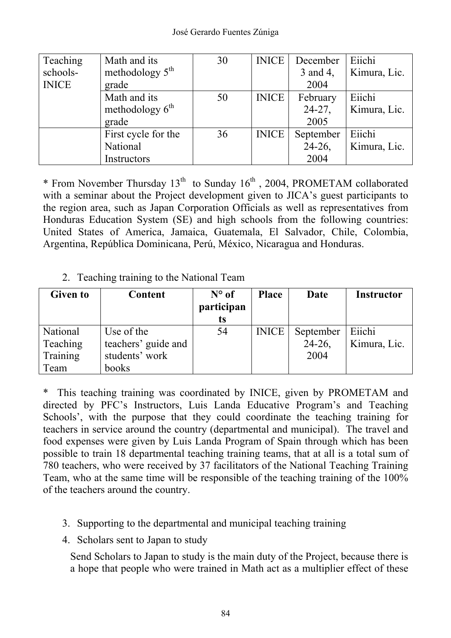| Teaching     | Math and its        | 30 | <b>INICE</b> | December  | Eiichi       |
|--------------|---------------------|----|--------------|-----------|--------------|
| schools-     | methodology $5th$   |    |              | 3 and 4,  | Kimura, Lic. |
| <b>INICE</b> | grade               |    |              | 2004      |              |
|              | Math and its        | 50 | <b>INICE</b> | February  | Eiichi       |
|              | methodology $6th$   |    |              | $24-27$ , | Kimura, Lic. |
|              | grade               |    |              | 2005      |              |
|              | First cycle for the | 36 | <b>INICE</b> | September | Eiichi       |
|              | National            |    |              | $24-26$ , | Kimura, Lic. |
|              | Instructors         |    |              | 2004      |              |

\* From November Thursday  $13<sup>th</sup>$  to Sunday  $16<sup>th</sup>$ , 2004, PROMETAM collaborated with a seminar about the Project development given to JICA's guest participants to the region area, such as Japan Corporation Officials as well as representatives from Honduras Education System (SE) and high schools from the following countries: United States of America, Jamaica, Guatemala, El Salvador, Chile, Colombia, Argentina, República Dominicana, Perú, México, Nicaragua and Honduras.

2. Teaching training to the National Team

| <b>Given to</b> | <b>Content</b>      | $N^{\circ}$ of | <b>Place</b> | Date      | <b>Instructor</b> |
|-----------------|---------------------|----------------|--------------|-----------|-------------------|
|                 |                     | participan     |              |           |                   |
|                 |                     | ts             |              |           |                   |
| National        | Use of the          | 54             | <b>INICE</b> | September | Eiichi            |
| Teaching        | teachers' guide and |                |              | $24-26$ , | Kimura, Lic.      |
| Training        | students' work      |                |              | 2004      |                   |
| Team            | books               |                |              |           |                   |

\* This teaching training was coordinated by INICE, given by PROMETAM and directed by PFC's Instructors, Luis Landa Educative Program's and Teaching Schools', with the purpose that they could coordinate the teaching training for teachers in service around the country (departmental and municipal). The travel and food expenses were given by Luis Landa Program of Spain through which has been possible to train 18 departmental teaching training teams, that at all is a total sum of 780 teachers, who were received by 37 facilitators of the National Teaching Training Team, who at the same time will be responsible of the teaching training of the 100% of the teachers around the country.

- 3. Supporting to the departmental and municipal teaching training
- 4. Scholars sent to Japan to study

Send Scholars to Japan to study is the main duty of the Project, because there is a hope that people who were trained in Math act as a multiplier effect of these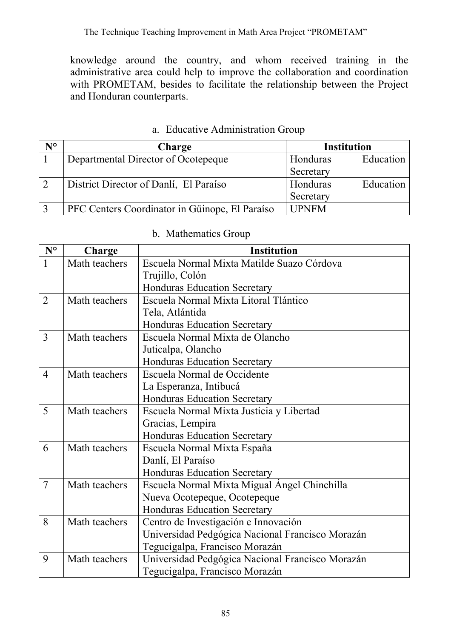The Technique Teaching Improvement in Math Area Project "PROMETAM"

knowledge around the country, and whom received training in the administrative area could help to improve the collaboration and coordination with PROMETAM, besides to facilitate the relationship between the Project and Honduran counterparts.

| N° | Charge                                         | <b>Institution</b>    |
|----|------------------------------------------------|-----------------------|
|    | Departmental Director of Ocotepeque            | Education<br>Honduras |
|    |                                                | Secretary             |
|    | District Director of Danlí, El Paraíso         | Honduras<br>Education |
|    |                                                | Secretary             |
|    | PFC Centers Coordinator in Güinope, El Paraíso | <b>UPNFM</b>          |

### a. Educative Administration Group

|  |  | b. Mathematics Group |  |
|--|--|----------------------|--|
|--|--|----------------------|--|

| $N^{\circ}$    | Charge        | <b>Institution</b>                               |  |  |  |
|----------------|---------------|--------------------------------------------------|--|--|--|
| $\mathbf{1}$   | Math teachers | Escuela Normal Mixta Matilde Suazo Córdova       |  |  |  |
|                |               | Trujillo, Colón                                  |  |  |  |
|                |               | Honduras Education Secretary                     |  |  |  |
| $\overline{2}$ | Math teachers | Escuela Normal Mixta Litoral Tlántico            |  |  |  |
|                |               | Tela, Atlántida                                  |  |  |  |
|                |               | <b>Honduras Education Secretary</b>              |  |  |  |
| 3              | Math teachers | Escuela Normal Mixta de Olancho                  |  |  |  |
|                |               | Juticalpa, Olancho                               |  |  |  |
|                |               | <b>Honduras Education Secretary</b>              |  |  |  |
| $\overline{4}$ | Math teachers | Escuela Normal de Occidente                      |  |  |  |
|                |               | La Esperanza, Intibucá                           |  |  |  |
|                |               | <b>Honduras Education Secretary</b>              |  |  |  |
| 5              | Math teachers | Escuela Normal Mixta Justicia y Libertad         |  |  |  |
|                |               | Gracias, Lempira                                 |  |  |  |
|                |               | <b>Honduras Education Secretary</b>              |  |  |  |
| 6              | Math teachers | Escuela Normal Mixta España                      |  |  |  |
|                |               | Danlí, El Paraíso                                |  |  |  |
|                |               | <b>Honduras Education Secretary</b>              |  |  |  |
| $\overline{7}$ | Math teachers | Escuela Normal Mixta Migual Ángel Chinchilla     |  |  |  |
|                |               | Nueva Ocotepeque, Ocotepeque                     |  |  |  |
|                |               | <b>Honduras Education Secretary</b>              |  |  |  |
| 8              | Math teachers | Centro de Investigación e Innovación             |  |  |  |
|                |               | Universidad Pedgógica Nacional Francisco Morazán |  |  |  |
|                |               | Tegucigalpa, Francisco Morazán                   |  |  |  |
| 9              | Math teachers | Universidad Pedgógica Nacional Francisco Morazán |  |  |  |
|                |               | Tegucigalpa, Francisco Morazán                   |  |  |  |